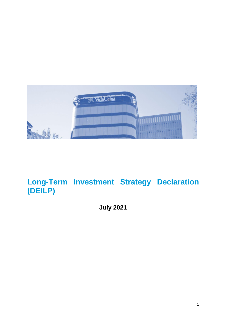

# **Long-Term Investment Strategy Declaration (DEILP)**

**July 2021**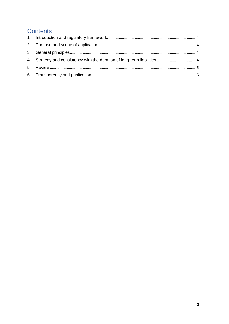# **Contents**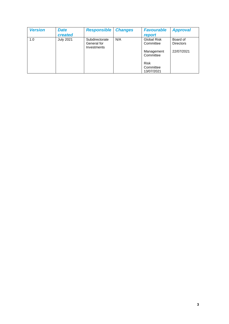| <b>Version</b> | <b>Date</b><br>created | <b>Responsible</b>                           | <b>Changes</b> | <b>Favourable</b><br>report                                                                          | <b>Approval</b>                            |
|----------------|------------------------|----------------------------------------------|----------------|------------------------------------------------------------------------------------------------------|--------------------------------------------|
| 1.0            | <b>July 2021</b>       | Subdirectorate<br>General for<br>Investments | N/A            | <b>Global Risk</b><br>Committee<br>Management<br>Committee<br><b>Risk</b><br>Committee<br>13/07/2021 | Board of<br><b>Directors</b><br>22/07/2021 |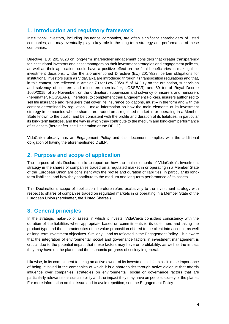## <span id="page-3-0"></span>**1. Introduction and regulatory framework**

<span id="page-3-1"></span>Institutional investors, including insurance companies, are often significant shareholders of listed companies, and may eventually play a key role in the long-term strategy and performance of these companies.

Directive (EU) 2017/828 on long-term shareholder engagement considers that greater transparency for institutional investors and asset managers on their investment strategies and engagement policies, as well as their application, could have a positive effect on the final beneficiaries in making their investment decisions. Under the aforementioned Directive (EU) 2017/828, certain obligations for institutional investors such as VidaCaixa are introduced through its transposition regulations and that, in this context, are reflected in Articles 79 ter Law 20/2015 of 14 July on the ordination, supervision and solvency of insurers and reinsurers (hereinafter, LOSSEAR) and 89 ter of Royal Decree 1060/2015, of 20 November, on the ordination, supervision and solvency of insurers and reinsurers (hereinafter, ROSSEAR). Therefore, to complement their Engagement Policies, insurers authorised to sell life insurance and reinsurers that cover life insurance obligations, must – in the form and with the content determined by regulation – make information on how the main elements of its investment strategy in companies whose shares are traded on a regulated market in or operating in a Member State known to the public, and be consistent with the profile and duration of its liabilities, in particular its long-term liabilities, and the way in which they contribute to the medium and long-term performance of its assets (hereinafter, the Declaration or the DEILP).

VidaCaixa already has an Engagement Policy and this document complies with the additional obligation of having the aforementioned DEILP.

#### **2. Purpose and scope of application**

<span id="page-3-2"></span>The purpose of this Declaration is to report on how the main elements of VidaCaixa's investment strategy in the shares of companies traded on a regulated market in or operating in a Member State of the European Union are consistent with the profile and duration of liabilities, in particular its longterm liabilities, and how they contribute to the medium and long-term performance of its assets.

This Declaration's scope of application therefore refers exclusively to the investment strategy with respect to shares of companies traded on regulated markets in or operating in a Member State of the European Union (hereinafter, the 'Listed Shares').

#### **3. General principles**

<span id="page-3-3"></span>In the strategic make-up of assets in which it invests, VidaCaixa considers consistency with the duration of the liabilities when appropriate based on commitments to its customers and taking the product type and the characteristics of the value proposition offered to the client into account, as well as long-term investment objectives. Similarly – and as reflected in the Engagement Policy – it is aware that the integration of environmental, social and governance factors in investment management is crucial due to the potential impact that these factors may have on profitability, as well as the impact they may have on the planet and the economic progress of society in general.

Likewise, in its commitment to being an active owner of its investments, it is explicit in the importance of being involved in the companies of which it is a shareholder through active dialogue that affords influence over companies' strategies on environmental, social or governance factors that are particularly relevant to its sustainability and the impact they may have on people, society or the planet. For more information on this issue and to avoid repetition, see the Engagement Policy.